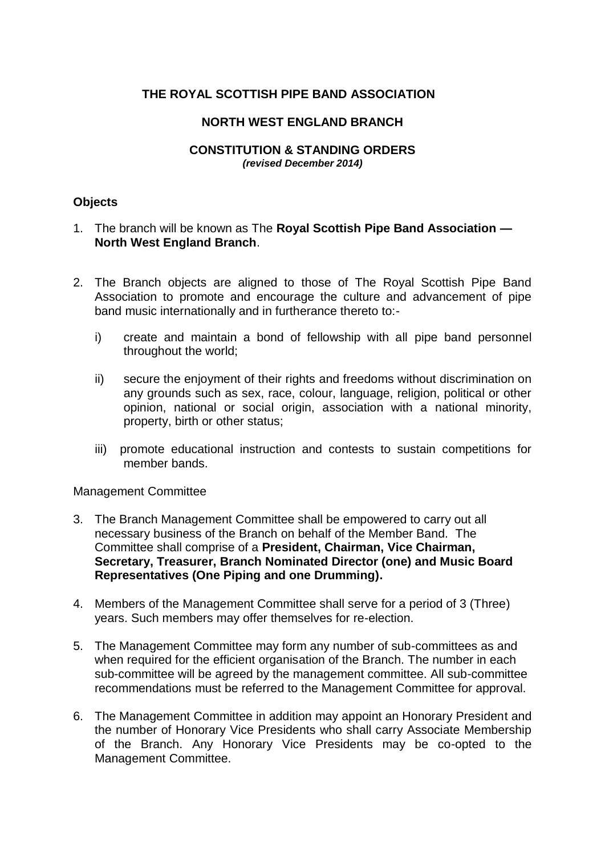# **THE ROYAL SCOTTISH PIPE BAND ASSOCIATION**

## **NORTH WEST ENGLAND BRANCH**

#### **CONSTITUTION & STANDING ORDERS** *(revised December 2014)*

## **Objects**

- 1. The branch will be known as The **Royal Scottish Pipe Band Association — North West England Branch**.
- 2. The Branch objects are aligned to those of The Royal Scottish Pipe Band Association to promote and encourage the culture and advancement of pipe band music internationally and in furtherance thereto to:
	- i) create and maintain a bond of fellowship with all pipe band personnel throughout the world;
	- ii) secure the enjoyment of their rights and freedoms without discrimination on any grounds such as sex, race, colour, language, religion, political or other opinion, national or social origin, association with a national minority, property, birth or other status;
	- iii) promote educational instruction and contests to sustain competitions for member bands.

#### Management Committee

- 3. The Branch Management Committee shall be empowered to carry out all necessary business of the Branch on behalf of the Member Band. The Committee shall comprise of a **President, Chairman, Vice Chairman, Secretary, Treasurer, Branch Nominated Director (one) and Music Board Representatives (One Piping and one Drumming).**
- 4. Members of the Management Committee shall serve for a period of 3 (Three) years. Such members may offer themselves for re-election.
- 5. The Management Committee may form any number of sub-committees as and when required for the efficient organisation of the Branch. The number in each sub-committee will be agreed by the management committee. All sub-committee recommendations must be referred to the Management Committee for approval.
- 6. The Management Committee in addition may appoint an Honorary President and the number of Honorary Vice Presidents who shall carry Associate Membership of the Branch. Any Honorary Vice Presidents may be co-opted to the Management Committee.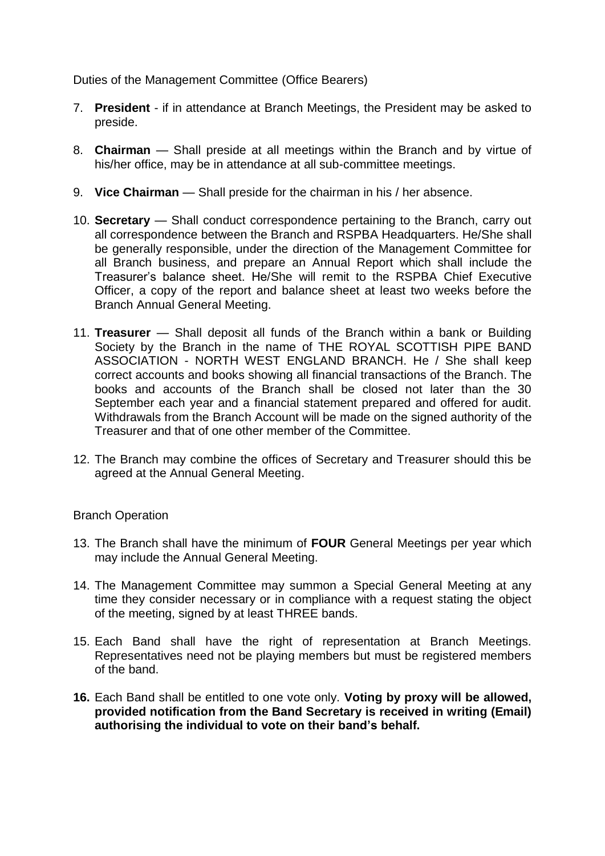Duties of the Management Committee (Office Bearers)

- 7. **President** if in attendance at Branch Meetings, the President may be asked to preside.
- 8. **Chairman** Shall preside at all meetings within the Branch and by virtue of his/her office, may be in attendance at all sub-committee meetings.
- 9. **Vice Chairman** Shall preside for the chairman in his / her absence.
- 10. **Secretary** Shall conduct correspondence pertaining to the Branch, carry out all correspondence between the Branch and RSPBA Headquarters. He/She shall be generally responsible, under the direction of the Management Committee for all Branch business, and prepare an Annual Report which shall include the Treasurer's balance sheet. He/She will remit to the RSPBA Chief Executive Officer, a copy of the report and balance sheet at least two weeks before the Branch Annual General Meeting.
- 11. **Treasurer** Shall deposit all funds of the Branch within a bank or Building Society by the Branch in the name of THE ROYAL SCOTTISH PIPE BAND ASSOCIATION - NORTH WEST ENGLAND BRANCH. He / She shall keep correct accounts and books showing all financial transactions of the Branch. The books and accounts of the Branch shall be closed not later than the 30 September each year and a financial statement prepared and offered for audit. Withdrawals from the Branch Account will be made on the signed authority of the Treasurer and that of one other member of the Committee.
- 12. The Branch may combine the offices of Secretary and Treasurer should this be agreed at the Annual General Meeting.

### Branch Operation

- 13. The Branch shall have the minimum of **FOUR** General Meetings per year which may include the Annual General Meeting.
- 14. The Management Committee may summon a Special General Meeting at any time they consider necessary or in compliance with a request stating the object of the meeting, signed by at least THREE bands.
- 15. Each Band shall have the right of representation at Branch Meetings. Representatives need not be playing members but must be registered members of the band.
- **16.** Each Band shall be entitled to one vote only. **Voting by proxy will be allowed, provided notification from the Band Secretary is received in writing (Email) authorising the individual to vote on their band's behalf.**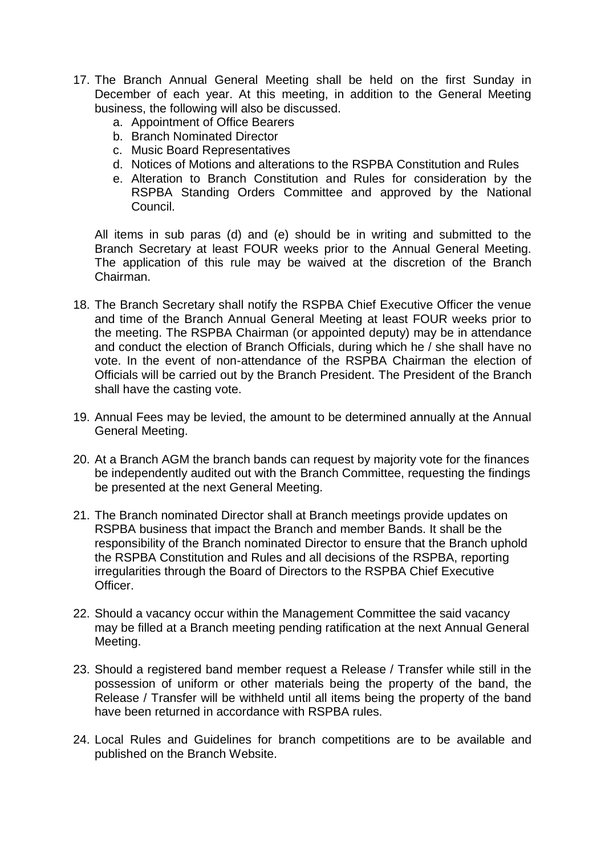- 17. The Branch Annual General Meeting shall be held on the first Sunday in December of each year. At this meeting, in addition to the General Meeting business, the following will also be discussed.
	- a. Appointment of Office Bearers
	- b. Branch Nominated Director
	- c. Music Board Representatives
	- d. Notices of Motions and alterations to the RSPBA Constitution and Rules
	- e. Alteration to Branch Constitution and Rules for consideration by the RSPBA Standing Orders Committee and approved by the National Council.

All items in sub paras (d) and (e) should be in writing and submitted to the Branch Secretary at least FOUR weeks prior to the Annual General Meeting. The application of this rule may be waived at the discretion of the Branch Chairman.

- 18. The Branch Secretary shall notify the RSPBA Chief Executive Officer the venue and time of the Branch Annual General Meeting at least FOUR weeks prior to the meeting. The RSPBA Chairman (or appointed deputy) may be in attendance and conduct the election of Branch Officials, during which he / she shall have no vote. In the event of non-attendance of the RSPBA Chairman the election of Officials will be carried out by the Branch President. The President of the Branch shall have the casting vote.
- 19. Annual Fees may be levied, the amount to be determined annually at the Annual General Meeting.
- 20. At a Branch AGM the branch bands can request by majority vote for the finances be independently audited out with the Branch Committee, requesting the findings be presented at the next General Meeting.
- 21. The Branch nominated Director shall at Branch meetings provide updates on RSPBA business that impact the Branch and member Bands. It shall be the responsibility of the Branch nominated Director to ensure that the Branch uphold the RSPBA Constitution and Rules and all decisions of the RSPBA, reporting irregularities through the Board of Directors to the RSPBA Chief Executive **Officer**
- 22. Should a vacancy occur within the Management Committee the said vacancy may be filled at a Branch meeting pending ratification at the next Annual General Meeting.
- 23. Should a registered band member request a Release / Transfer while still in the possession of uniform or other materials being the property of the band, the Release / Transfer will be withheld until all items being the property of the band have been returned in accordance with RSPBA rules.
- 24. Local Rules and Guidelines for branch competitions are to be available and published on the Branch Website.